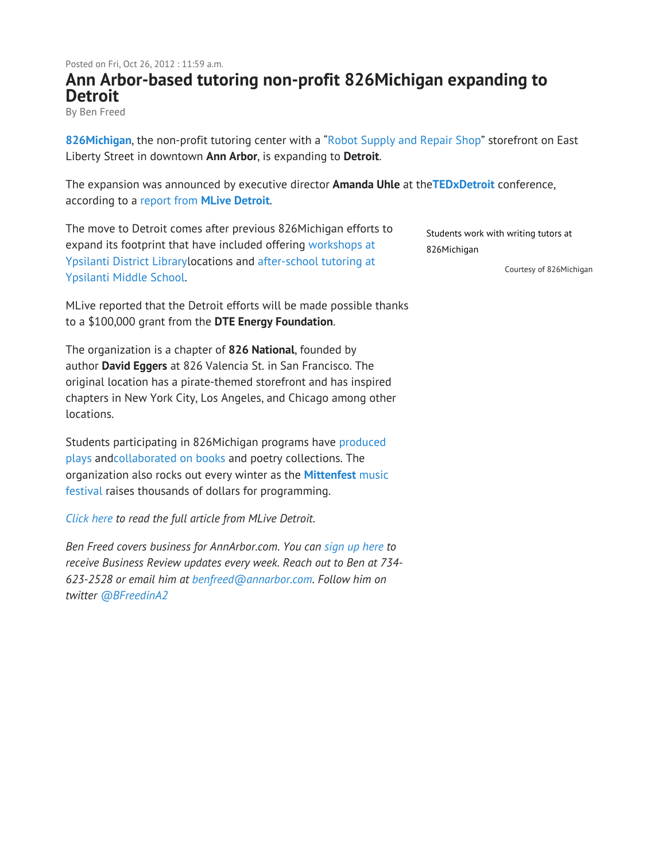## **Ann Arbor-based tutoring non-profit 826Michigan expanding to Detroit**

By Ben Freed

**826Michigan**, the non-profit tutoring center with a "Robot Supply and Repair Shop" storefront on East Liberty Street in downtown **Ann Arbor**, is expanding to **Detroit**.

The expansion was announced by executive director **Amanda Uhle** at the**TEDxDetroit** conference, according to a report from **MLive Detroit**.

The move to Detroit comes after previous 826Michigan efforts to expand its footprint that have included offering workshops at Ypsilanti District Librarylocations and after-school tutoring at Ypsilanti Middle School.

MLive reported that the Detroit efforts will be made possible thanks to a \$100,000 grant from the **DTE Energy Foundation**.

The organization is a chapter of **826 National**, founded by author **David Eggers** at 826 Valencia St. in San Francisco. The original location has a pirate-themed storefront and has inspired chapters in New York City, Los Angeles, and Chicago among other locations.

Students participating in 826Michigan programs have produced plays andcollaborated on books and poetry collections. The organization also rocks out every winter as the **Mittenfest** music festival raises thousands of dollars for programming.

*Click here to read the full article from MLive Detroit.*

*Ben Freed covers business for AnnArbor.com. You can sign up here to receive Business Review updates every week. Reach out to Ben at 734- 623-2528 or email him at benfreed@annarbor.com. Follow him on twitter @BFreedinA2*

Students work with writing tutors at 826Michigan

Courtesy of 826Michigan